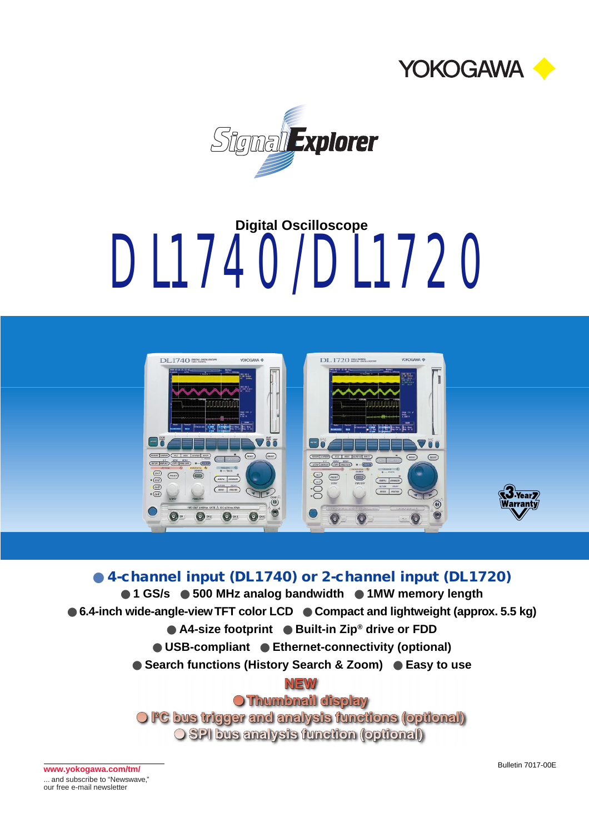



# DL1740/DL1720 **Digital Oscilloscope**



● **4-channel input (DL1740) or 2-channel input (DL1720)** ● 1 GS/s ● 500 MHz analog bandwidth ● 1MW memory length ● 6.4-inch wide-angle-view TFT color LCD ● Compact and lightweight (approx. 5.5 kg) ● A4-size footprint ● Built-in Zip<sup>®</sup> drive or FDD ● **USB-compliant** ● **Ethernet-connectivity (optional)** ● Search functions (History Search & Zoom) ● Easy to use NEW **O Thumbnail display** O FC bus trigger and analysis functions (optional) **O SPI bus analysis function (optional)** 

Bulletin 7017-00E **www.yokogawa.com/tm/** ... and subscribe to "Newswave," our free e-mail newsletter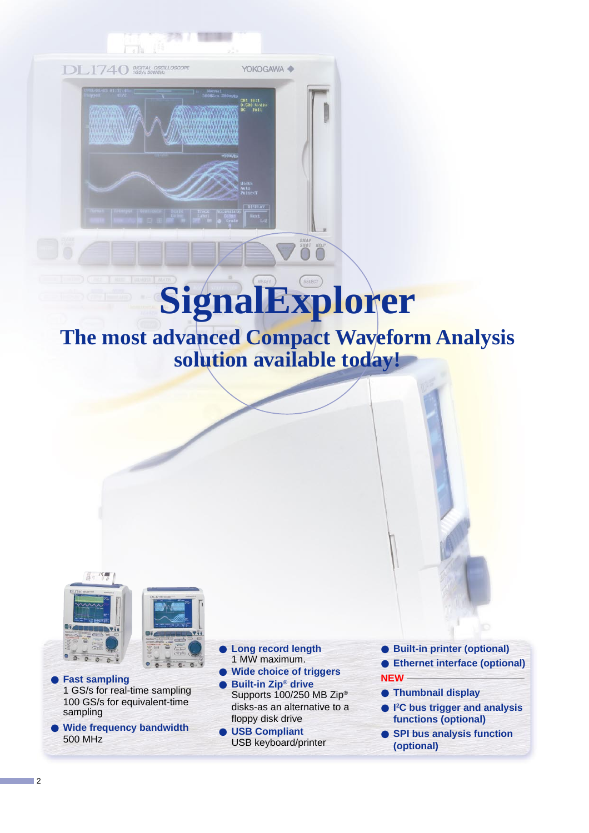

# **SignalExplorer**

**The most advanced Compact Waveform Analysis solution available today!**



**Fast sampling** 1 GS/s for real-time sampling 100 GS/s for equivalent-time sampling

● **Wide frequency bandwidth** 500 MHz

- **Long record length** 1 MW maximum.
- **Wide choice of triggers**
- **Built-in Zip<sup>®</sup> drive** Supports 100/250 MB Zip® disks-as an alternative to a floppy disk drive
- **USB Compliant** USB keyboard/printer
- **Built-in printer (optional)**
- **Ethernet interface (optional) NEW**
- **Thumbnail display**
- **I 2 C bus trigger and analysis functions (optional)**
- **SPI bus analysis function (optional)**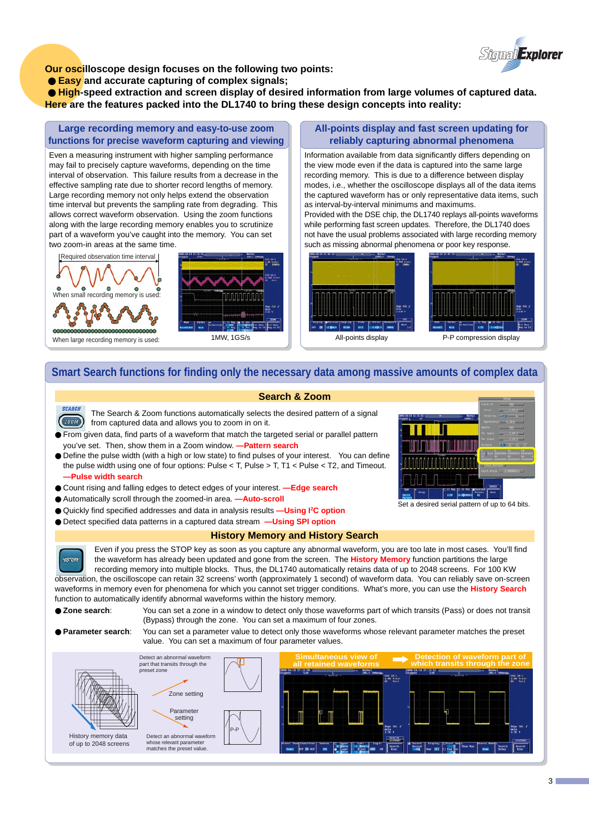

**Our oscilloscope design focuses on the following two points:**

● **Easy** and accurate capturing of complex signals;

 ● **High-speed extraction and screen display of desired information from large volumes of captured data. Here are the features packed into the DL1740 to bring these design concepts into reality:**

**Large recording memory and easy-to-use zoom functions for precise waveform capturing and viewing**

Even a measuring instrument with higher sampling performance may fail to precisely capture waveforms, depending on the time interval of observation. This failure results from a decrease in the effective sampling rate due to shorter record lengths of memory. Large recording memory not only helps extend the observation time interval but prevents the sampling rate from degrading. This allows correct waveform observation. Using the zoom functions along with the large recording memory enables you to scrutinize part of a waveform you've caught into the memory. You can set two zoom-in areas at the same time.

Required observation time interval





# **All-points display and fast screen updating for reliably capturing abnormal phenomena**

Information available from data significantly differs depending on the view mode even if the data is captured into the same large recording memory. This is due to a difference between display modes, i.e., whether the oscilloscope displays all of the data items the captured waveform has or only representative data items, such as interval-by-interval minimums and maximums.

Provided with the DSE chip, the DL1740 replays all-points waveforms while performing fast screen updates. Therefore, the DL1740 does not have the usual problems associated with large recording memory such as missing abnormal phenomena or poor key response.



# **Smart Search functions for finding only the necessary data among massive amounts of complex data**

# **Search & Zoom**

**SEARCH** The Search & Zoom functions automatically selects the desired pattern of a signal  $Z00M$ from captured data and allows you to zoom in on it.

● From given data, find parts of a waveform that match the targeted serial or parallel pattern you've set. Then, show them in a Zoom window. **—Pattern search**

● Define the pulse width (with a high or low state) to find pulses of your interest. You can define the pulse width using one of four options: Pulse < T, Pulse > T, T1 < Pulse < T2, and Timeout. **—Pulse width search**

- Count rising and falling edges to detect edges of your interest. **—Edge search**
- Automatically scroll through the zoomed-in area. **—Auto-scroll**
- Quickly find specified addresses and data in analysis results **—Using I2 C option**
- Detect specified data patterns in a captured data stream **—Using SPI option**

# **History Memory and History Search**

Even if you press the STOP key as soon as you capture any abnormal waveform, you are too late in most cases. You'll find the waveform has already been updated and gone from the screen. The **History Memory** function partitions the large recording memory into multiple blocks. Thus, the DL1740 automatically retains data of up to 2048 screens. For 100 KW observation, the oscilloscope can retain 32 screens' worth (approximately 1 second) of waveform data. You can reliably save on-screen waveforms in memory even for phenomena for which you cannot set trigger conditions. What's more, you can use the **History Search** function to automatically identify abnormal waveforms within the history memory.

**HISTORY** 

● **Zone search**: You can set a zone in a window to detect only those waveforms part of which transits (Pass) or does not transit (Bypass) through the zone. You can set a maximum of four zones.

● **Parameter search**: You can set a parameter value to detect only those waveforms whose relevant parameter matches the preset value. You can set a maximum of four parameter values.





Set a desired serial pattern of up to 64 bits.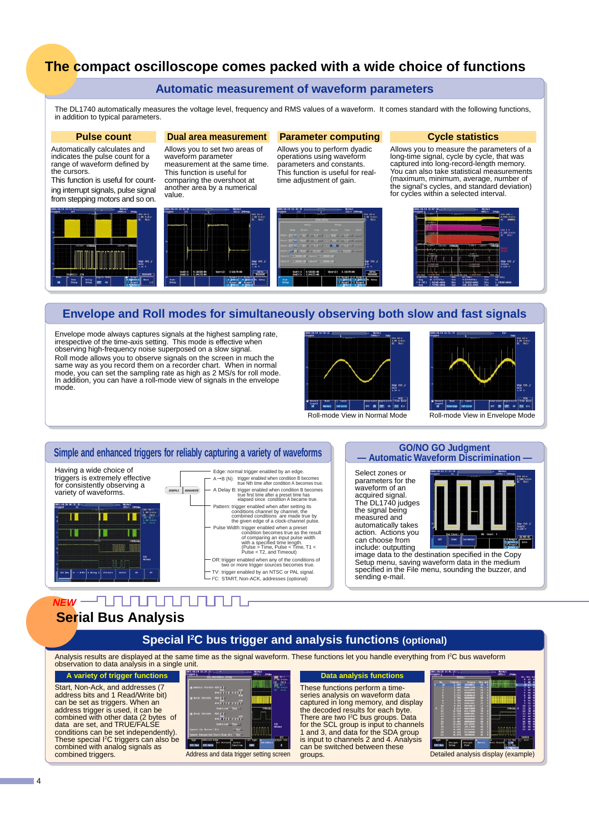# **The compact oscilloscope comes packed with a wide choice of functions**

# **Automatic measurement of waveform parameters**

The DL1740 automatically measures the voltage level, frequency and RMS values of a waveform. It comes standard with the following functions, in addition to typical parameters.

### **Pulse count**

Automatically calculates and indicates the pulse count for a range of waveform defined by the cursors.

This function is useful for counting interrupt signals, pulse signal from stepping motors and so on.



# **Dual area measurement**

Allows you to set two areas of waveform parameter measurement at the same time. This function is useful for comparing the overshoot at another area by a numerical value.



## **Parameter computing**

Allows you to perform dyadic operations using waveform parameters and constants. This function is useful for realtime adjustment of gain.

## **Cycle statistics**

Allows you to measure the parameters of a long-time signal, cycle by cycle, that was captured into long-record-length memory. You can also take statistical measurements (maximum, minimum, average, number of the signal's cycles, and standard deviation) for cycles within a selected interval.

CHO 18811<br>0.500 Endis



# **Envelope and Roll modes for simultaneously observing both slow and fast signals**

Envelope mode always captures signals at the highest sampling rate, irrespective of the time-axis setting. This mode is effective when observing high-frequency noise superposed on a slow signal. Roll mode allows you to observe signals on the screen in much the same way as you record them on a recorder chart. When in normal mode, you can set the sampling rate as high as 2 MS/s for roll mode. In addition, you can have a roll-mode view of signals in the envelope mode.





# **Simple and enhanced triggers for reliably capturing a variety of waveforms**

Having a wide choice of triggers is extremely effective for consistently observing a variety of waveforms.



Edge: normal trigger enabled by an edge. A→B (N): trigger enabled when condition B becomes<br>true Nth time after condition A becomes true. OR: trigger enabled when any of the conditions of two or more trigger sources becomes true. TV: trigger enabled by an NTSC or PAL signal. trigger enabled when condition B becomes true first time after a preset time has elapsed since condition A became true. A Delay B: Pattern: Pulse Width: trigger enabled when after setting its<br>conditions channel by channel, the<br>combined conditions are made true by<br>the given edge of a clock-channel pulse.<br>idth:trigger enabled when a preset<br>of comparing an input pulse width<br>o I 2 C: START, Non-ACK, addresses (optional)

## **GO/NO GO Judgment — Automatic Waveform Discrimination —**

Select zones or parameters for the waveform of an acquired signal. The DL1740 judges the signal being measured and automatically takes action. Actions you can choose from include: outputting



image data to the destination specified in the Copy Setup menu, saving waveform data in the medium specified in the File menu, sounding the buzzer, and sending e-mail.

#### - 7 M.M.M.M . חחחו **NEW Serial Bus Analysis**

# **Special I2 C bus trigger and analysis functions (optional)**

Analysis results are displayed at the same time as the signal waveform. These functions let you handle everything from I<sup>2</sup>C bus waveform observation to data analysis in a single unit.

**variety of trigger functions** Start, Non-Ack, and addresses (7

address bits and 1 Read/Write bit) can be set as triggers. When an address trigger is used, it can be combined with other data (2 bytes of data are set, and TRUE/FALSE conditions can be set independently). These special I2 C triggers can also be combined with analog signals as combined triggers.



**Data analysis functions** These functions perform a timeseries analysis on waveform data captured in long memory, and display the decoded results for each byte. There are two I2 C bus groups. Data for the SCL group is input to channels 1 and 3, and data for the SDA group is input to channels 2 and 4. Analysis can be switched between these<br>groups. Address and data trigger setting screen groups. Detailed analysis display (example)

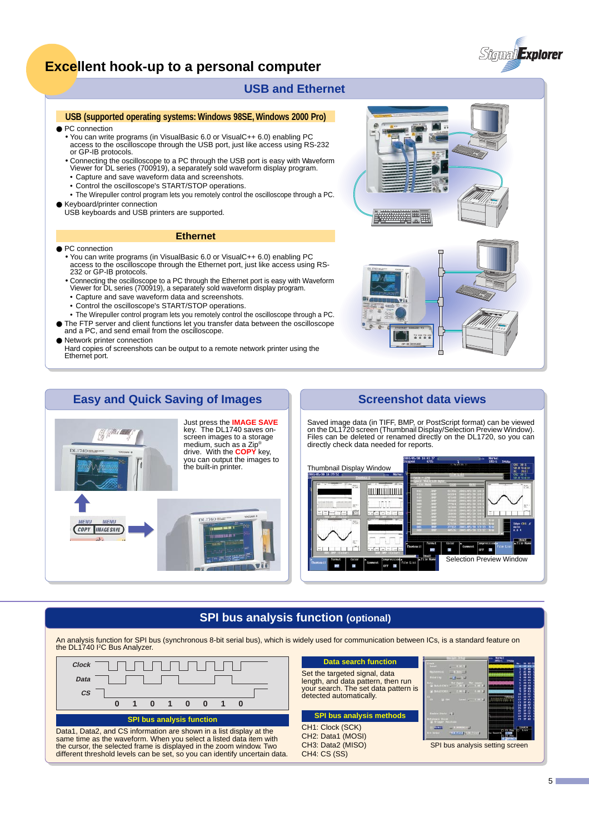

# **Excellent hook-up to a personal computer**

# **USB and Ethernet**

# **USB (supported operating systems: Windows 98SE, Windows 2000 Pro)**

- PC connection
	- You can write programs (in VisualBasic 6.0 or VisualC++ 6.0) enabling PC access to the oscilloscope through the USB port, just like access using RS-232 or GP-IB protocols.
	- Connecting the oscilloscope to a PC through the USB port is easy with Waveform Viewer for DL series (700919), a separately sold waveform display program.
	- Capture and save waveform data and screenshots.
	- Control the oscilloscope's START/STOP operations.
- The Wirepuller control program lets you remotely control the oscilloscope through a PC. ● Keyboard/printer connection

USB keyboards and USB printers are supported.

## **Ethernet**

- PC connection
	- You can write programs (in VisualBasic 6.0 or VisualC++ 6.0) enabling PC access to the oscilloscope through the Ethernet port, just like access using RS-232 or GP-IB protocols.
	- Connecting the oscilloscope to a PC through the Ethernet port is easy with Waveform Viewer for DL series (700919), a separately sold waveform display program.
	- Capture and save waveform data and screenshots.
	- Control the oscilloscope's START/STOP operations.
	- The Wirepuller control program lets you remotely control the oscilloscope through a PC.
- The FTP server and client functions let you transfer data between the oscilloscope and a PC, and send email from the oscilloscope.
- Network printer connection

Hard copies of screenshots can be output to a remote network printer using the Ethernet port.



# **Easy and Quick Saving of Images Theorem Screenshot data views**



Saved image data (in TIFF, BMP, or PostScript format) can be viewed on the DL1720 screen (Thumbnail Display/Selection Preview Window). Files can be deleted or renamed directly on the DL1720, so you can directly check data needed for reports.



# **SPI bus analysis function (optional)**

An analysis function for SPI bus (synchronous 8-bit serial bus), which is widely used for communication between ICs, is a standard feature on<br>the DL1740 I<sup>2</sup>C Bus Analyzer.



same time as the waveform. When you select a listed data item with the cursor, the selected frame is displayed in the zoom window. Two different threshold levels can be set, so you can identify uncertain data.

| <b>Data search function</b>                                                                                                            |                                                                                                       |
|----------------------------------------------------------------------------------------------------------------------------------------|-------------------------------------------------------------------------------------------------------|
| Set the targeted signal, data<br>length, and data pattern, then run<br>your search. The set data pattern is<br>detected automatically. | <b>MARGARET</b><br>1111111<br>ata<br>Si Antatiche i <sup>The</sup><br><b>CONSUMING</b><br>$-1.00$ CHE |
|                                                                                                                                        |                                                                                                       |
| <b>SPI bus analysis methods</b>                                                                                                        | <b>Cashian State</b> (U)<br><b>Ferrico: Pill</b>                                                      |
| CH1: Clock (SCK)<br>CH2: Data1 (MOSI)                                                                                                  |                                                                                                       |



analysis setting screen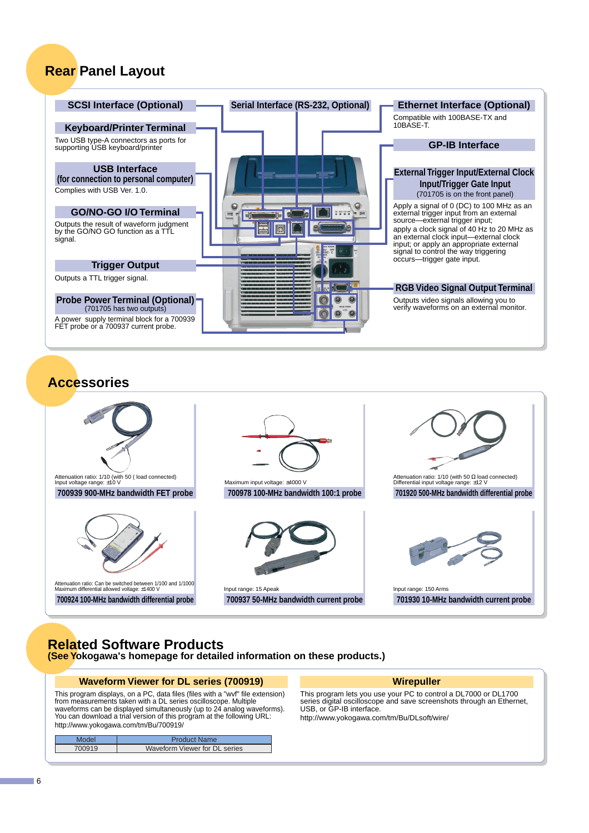# **Rear Panel Layout**



# **Accessories**



# **Related Software Products (See Yokogawa's homepage for detailed information on these products.)**

# **Waveform Viewer for DL series (700919)**

This program displays, on a PC, data files (files with a "wvf" file extension) from measurements taken with a DL series oscilloscope. Multiple waveforms can be displayed simultaneously (up to 24 analog waveforms). You can download a trial version of this program at the following URL: http://www.yokogawa.com/tm/Bu/700919/

| Model  | <b>Product Name</b>           |
|--------|-------------------------------|
| 700919 | Waveform Viewer for DL series |
|        |                               |

# **Wirepuller**

This program lets you use your PC to control a DL7000 or DL1700 series digital oscilloscope and save screenshots through an Ethernet, USB, or GP-IB interface.

http://www.yokogawa.com/tm/Bu/DLsoft/wire/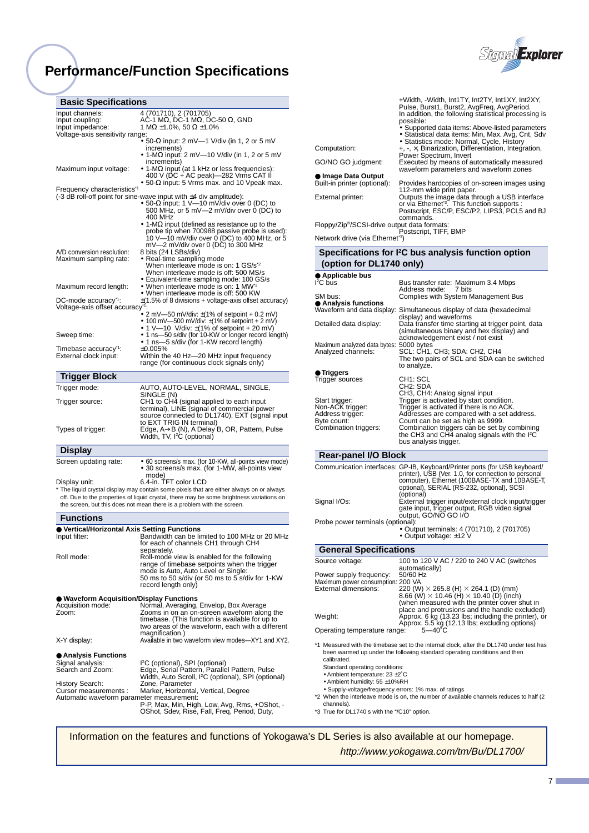# **Performance/Function Specifications**



| <b>Basic Specifications</b>                                                                                                                                                          |
|--------------------------------------------------------------------------------------------------------------------------------------------------------------------------------------|
| 4 (701710), 2 (701705)                                                                                                                                                               |
| AC-1 M $\Omega$ , DC-1 M $\Omega$ , DC-50 $\Omega$ , GND                                                                                                                             |
| 1 MΩ ±1.0%, 50 Ω ±1.0%<br>Voltage-axis sensitivity range:                                                                                                                            |
| • 50-Ω input: 2 mV—1 V/div (in 1, 2 or 5 mV                                                                                                                                          |
| increments)<br>• 1-M $\Omega$ input: 2 mV-10 V/div (in 1, 2 or 5 mV                                                                                                                  |
| increments)<br>• 1-M $\Omega$ input (at 1 kHz or less frequencies):                                                                                                                  |
| 400 V (DC + AC peak)—282 Vrms CAT II<br>• 50- $\Omega$ input: 5 Vrms max. and 10 Vpeak max.                                                                                          |
| Frequency characteristics <sup>1</sup>                                                                                                                                               |
| $(-3$ dB roll-off point for sine-wave input with $\pm 4$ div amplitude):                                                                                                             |
| • 50-Ω input: 1 V—10 mV/div over 0 (DC) to<br>500 MHz, or 5 mV—2 mV/div over 0 (DC) to                                                                                               |
| 400 MHz                                                                                                                                                                              |
| • 1-M $\Omega$ input (defined as resistance up to the<br>probe tip when 700988 passive probe is used):                                                                               |
| 10 V-10 mV/div over 0 (DC) to 400 MHz, or 5                                                                                                                                          |
| mV—2 mV/div over 0 (DC) to 300 MHz                                                                                                                                                   |
| 8 bits (24 LSBs/div)<br>• Real-time sampling mode                                                                                                                                    |
| When interleave mode is on: 1 GS/s <sup>*2</sup>                                                                                                                                     |
| When interleave mode is off: 500 MS/s                                                                                                                                                |
| • Equivalent-time sampling mode: 100 GS/s<br>• When interleave mode is on: 1 MW <sup>-2</sup>                                                                                        |
| • When interleave mode is off: 500 KW                                                                                                                                                |
| $\pm$ (1.5% of 8 divisions + voltage-axis offset accuracy)<br>Voltage-axis offset accuracy <sup>-1</sup>                                                                             |
| • 2 mV-50 mV/div: $\pm$ (1% of setpoint + 0.2 mV)                                                                                                                                    |
| • 100 mV—500 mV/div: $\pm$ (1% of setpoint + 2 mV)                                                                                                                                   |
| • 1 V–10 V/div: $\pm$ (1% of setpoint + 20 mV)<br>• 1 ns-50 s/div (for 10-KW or longer record length)                                                                                |
| • 1 ns—5 s/div (for 1-KW record length)                                                                                                                                              |
| ±0.005%<br>Within the 40 Hz—20 MHz input frequency                                                                                                                                   |
| range (for continuous clock signals only)                                                                                                                                            |
|                                                                                                                                                                                      |
| AUTO, AUTO-LEVEL, NORMAL, SINGLE,                                                                                                                                                    |
| SINGLE (N)                                                                                                                                                                           |
| CH1 to CH4 (signal applied to each input                                                                                                                                             |
| terminal), LINE (signal of commercial power                                                                                                                                          |
|                                                                                                                                                                                      |
| to EXT TRIG IN terminal)                                                                                                                                                             |
| Edge, A->B (N), A Delay B, OR, Pattern, Pulse                                                                                                                                        |
| source connected to DL1740), EXT (signal input<br>Width, TV, <sup>2</sup> C (optional)                                                                                               |
|                                                                                                                                                                                      |
| • 60 screens/s max. (for 10-KW, all-points view mode)                                                                                                                                |
| • 30 screens/s max. (for 1-MW, all-points view<br>mode)                                                                                                                              |
| 6.4-in. TFT color LCD                                                                                                                                                                |
| * The liquid crystal display may contain some pixels that are either always on or always<br>off. Due to the properties of liquid crystal, there may be some brightness variations on |
| the screen, but this does not mean there is a problem with the screen.                                                                                                               |
|                                                                                                                                                                                      |
| $\bullet$ Vertical/Horizontal Axis Setting Functions                                                                                                                                 |
|                                                                                                                                                                                      |
| for each of channels CH1 through CH4<br>separately.                                                                                                                                  |
| Roll-mode view is enabled for the following                                                                                                                                          |
| Bandwidth can be limited to 100 MHz or 20 MHz<br>range of timebase setpoints when the trigger                                                                                        |
| mode is Auto, Auto Level or Single:<br>50 ms to 50 s/div (or 50 ms to 5 s/div for 1-KW                                                                                               |
| record length only)                                                                                                                                                                  |
| <b>Waveform Acquisition/Display Functions</b>                                                                                                                                        |
| Normal, Averaging, Envelop, Box Average                                                                                                                                              |
| Zooms in on an on-screen waveform along the                                                                                                                                          |
| timebase. (This function is available for up to                                                                                                                                      |
| two areas of the waveform, each with a different<br>magnification.)                                                                                                                  |
| Available in two waveform view modes-XY1 and XY2.                                                                                                                                    |
|                                                                                                                                                                                      |
| I <sup>2</sup> C (optional), SPI (optional)                                                                                                                                          |
| Edge, Serial Pattern, Parallel Pattern, Pulse<br>Width, Auto Scroll, <sup>2</sup> C (optional), SPI (optional)                                                                       |
| Zone, Parameter<br>Marker, Horizontal, Vertical, Degree                                                                                                                              |
|                                                                                                                                                                                      |

Automatic waveform parameter measurement:<br>P, Max, Min, High, Low, Avg, Rms, +OShot, -<br>OShot, Sdev, Rise, Fall, Freq, Period, Duty,

| Computation:<br>GO/NO GO judgment:                                                                                                                                                  | +Width, -Width, Int1TY, Int2TY, Int1XY, Int2XY,<br>Pulse, Burst1, Burst2, AvgFreq, AvgPeriod.<br>In addition, the following statistical processing is<br>possible:<br>• Supported data items: Above-listed parameters<br>• Statistical data items: Min, Max, Avg, Cnt, Sdv<br>• Statistics mode: Normal, Cycle, History<br>$+, -, \times$ , Binarization, Differentiation, Integration,<br>Power Spectrum, Invert<br>Executed by means of automatically measured<br>waveform parameters and waveform zones |
|-------------------------------------------------------------------------------------------------------------------------------------------------------------------------------------|------------------------------------------------------------------------------------------------------------------------------------------------------------------------------------------------------------------------------------------------------------------------------------------------------------------------------------------------------------------------------------------------------------------------------------------------------------------------------------------------------------|
| ● Image Data Output                                                                                                                                                                 |                                                                                                                                                                                                                                                                                                                                                                                                                                                                                                            |
| Built-in printer (optional):<br>External printer:                                                                                                                                   | Provides hardcopies of on-screen images using<br>112-mm wide print paper.<br>Outputs the image data through a USB interface<br>or via Ethernet <sup>3</sup> . This function supports :<br>Postscript, ESC/P, ESC/P2, LIPS3, PCL5 and BJ<br>commands.                                                                                                                                                                                                                                                       |
| Floppy/Zip <sup>®</sup> /SCSI-drive output data formats:                                                                                                                            | Postscript, TIFF, BMP                                                                                                                                                                                                                                                                                                                                                                                                                                                                                      |
| Network drive (via Ethernet <sup>-3</sup> )                                                                                                                                         |                                                                                                                                                                                                                                                                                                                                                                                                                                                                                                            |
| (option for DL1740 only)                                                                                                                                                            | Specifications for I <sup>2</sup> C bus analysis function option                                                                                                                                                                                                                                                                                                                                                                                                                                           |
| $\bullet$ Applicable bus<br>${}^{12}$ C bus                                                                                                                                         | Bus transfer rate: Maximum 3.4 Mbps                                                                                                                                                                                                                                                                                                                                                                                                                                                                        |
| SM bus:                                                                                                                                                                             | Address mode:<br>7 bits                                                                                                                                                                                                                                                                                                                                                                                                                                                                                    |
| $\bullet$ Analysis functions                                                                                                                                                        | Complies with System Management Bus<br>Waveform and data display: Simultaneous display of data (hexadecimal                                                                                                                                                                                                                                                                                                                                                                                                |
| Detailed data display:                                                                                                                                                              | display) and waveforms<br>Data transfer time starting at trigger point, data<br>(simultaneous binary and hex display) and                                                                                                                                                                                                                                                                                                                                                                                  |
| Maximum analyzed data bytes: 5000 bytes<br>Analyzed channels:                                                                                                                       | acknowledgement exist / not exist<br>SCL: CH1, CH3; SDA: CH2, CH4<br>The two pairs of SCL and SDA can be switched<br>to analyze.                                                                                                                                                                                                                                                                                                                                                                           |
| $\bullet$ Triggers<br>Trigger sources                                                                                                                                               | CH1: SCL<br>CH2: SDA<br>CH3, CH4: Analog signal input                                                                                                                                                                                                                                                                                                                                                                                                                                                      |
| Start trigger:<br>Non-ACK trigger:<br>Address trigger:<br>Byte count:<br>Combination triggers:                                                                                      | Trigger is activated by start condition.<br>Trigger is activated if there is no ACK.<br>Addresses are compared with a set address.<br>Count can be set as high as 9999.<br>Combination triggers can be set by combining<br>the CH3 and CH4 analog signals with the I <sup>2</sup> C<br>bus analysis trigger.                                                                                                                                                                                               |
| <b>Rear-panel I/O Block</b>                                                                                                                                                         |                                                                                                                                                                                                                                                                                                                                                                                                                                                                                                            |
| Signal I/Os:                                                                                                                                                                        | Communication interfaces: GP-IB, Keyboard/Printer ports (for USB keyboard/<br>printer), USB (Ver. 1.0, for connection to personal<br>computer), Ethernet (100BASE-TX and 10BASE-T,<br>optional), SERIAL (RS-232, optional), SCSI<br>(optional)<br>External trigger input/external clock input/trigger<br>gate input, trigger output, RGB video signal                                                                                                                                                      |
| Probe power terminals (optional):                                                                                                                                                   | output, GO/NO GO I/O                                                                                                                                                                                                                                                                                                                                                                                                                                                                                       |
|                                                                                                                                                                                     | • Output terminals: 4 (701710), 2 (701705)<br>• Output voltage: ±12 V                                                                                                                                                                                                                                                                                                                                                                                                                                      |
| <b>General Specifications</b>                                                                                                                                                       |                                                                                                                                                                                                                                                                                                                                                                                                                                                                                                            |
| Source voltage:                                                                                                                                                                     | 100 to 120 V AC / 220 to 240 V AC (switches<br>automatically)                                                                                                                                                                                                                                                                                                                                                                                                                                              |
| Power supply frequency:<br>Maximum power consumption: 200 VA<br>External dimensions:                                                                                                | 50/60 Hz<br>220 (W) $\times$ 265.8 (H) $\times$ 264.1 (D) (mm)<br>8.66 (W) $\times$ 10.46 (H) $\times$ 10.40 (D) (inch)<br>(when measured with the printer cover shut in<br>place and protrusions and the handle excluded)                                                                                                                                                                                                                                                                                 |
| Weight:                                                                                                                                                                             | Approx. 6 kg (13.23 lbs; including the printer), or                                                                                                                                                                                                                                                                                                                                                                                                                                                        |
| Operating temperature range:                                                                                                                                                        | Approx. 5.5 kg (12.13 lbs; excluding options)<br>$5 - 40^{\circ}$ C                                                                                                                                                                                                                                                                                                                                                                                                                                        |
| calibrated.<br>Standard operating conditions:<br>• Ambient temperature: $23 \pm 2^{\circ}$ C<br>• Ambient humidity: 55 ±10%RH<br>Supply-voltage/frequency errors: 1% may of rations | *1 Measured with the timebase set to the internal clock, after the DL1740 under test has<br>been warmed up under the following standard operating conditions and then                                                                                                                                                                                                                                                                                                                                      |

- Supply-voltage/frequency errors: 1% max. of ratings \*2 When the interleave mode is on, the number of available channels reduces to half (2
- channels). \*3 True for DL1740 s with the "/C10" option.

Information on the features and functions of Yokogawa's DL Series is also available at our homepage.

http://www.yokogawa.com/tm/Bu/DL1700/